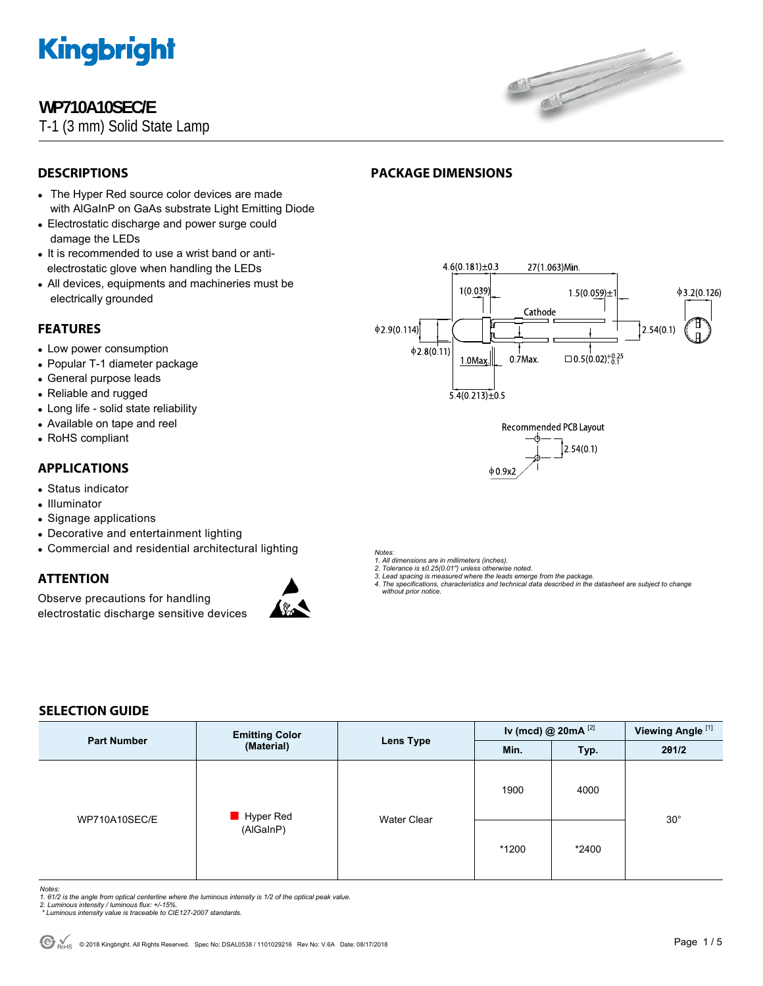

## **WP710A10SEC/E**

T-1 (3 mm) Solid State Lamp



## **DESCRIPTIONS**

- The Hyper Red source color devices are made with AlGaInP on GaAs substrate Light Emitting Diode
- Electrostatic discharge and power surge could damage the LEDs
- It is recommended to use a wrist band or antielectrostatic glove when handling the LEDs
- All devices, equipments and machineries must be electrically grounded

### **FEATURES**

- Low power consumption
- Popular T-1 diameter package
- General purpose leads
- Reliable and rugged
- Long life solid state reliability
- Available on tape and reel
- RoHS compliant

### **APPLICATIONS**

- Status indicator
- Illuminator
- Signage applications
- Decorative and entertainment lighting
- Commercial and residential architectural lighting

### **ATTENTION**

Observe precautions for handling electrostatic discharge sensitive devices



## **PACKAGE DIMENSIONS**





*Notes:* 

*1. All dimensions are in millimeters (inches).* 

*2. Tolerance is ±0.25(0.01") unless otherwise noted.* 

*3. Lead spacing is measured where the leads emerge from the package. 4. The specifications, characteristics and technical data described in the datasheet are subject to change* 

 *without prior notice.*

#### **SELECTION GUIDE**

| <b>Part Number</b> | <b>Emitting Color</b><br>(Material) | <b>Lens Type</b> | Iv (mcd) @ $20mA$ <sup>[2]</sup> |       | Viewing Angle <sup>[1]</sup> |
|--------------------|-------------------------------------|------------------|----------------------------------|-------|------------------------------|
|                    |                                     |                  | Min.                             | Typ.  | 201/2                        |
| WP710A10SEC/E      | Hyper Red<br>(AlGaInP)              | Water Clear      | 1900                             | 4000  |                              |
|                    |                                     |                  | *1200                            | *2400 | $30^{\circ}$                 |

*Notes:* 

- 1. 01/2 is the angle from optical centerline where the luminous intensity is 1/2 of the optical peak value.<br>2. Luminous intensity / luminous flux: +/-15%.<br>\* Luminous intensity value is traceable to CIE127-2007 standards.
- 
-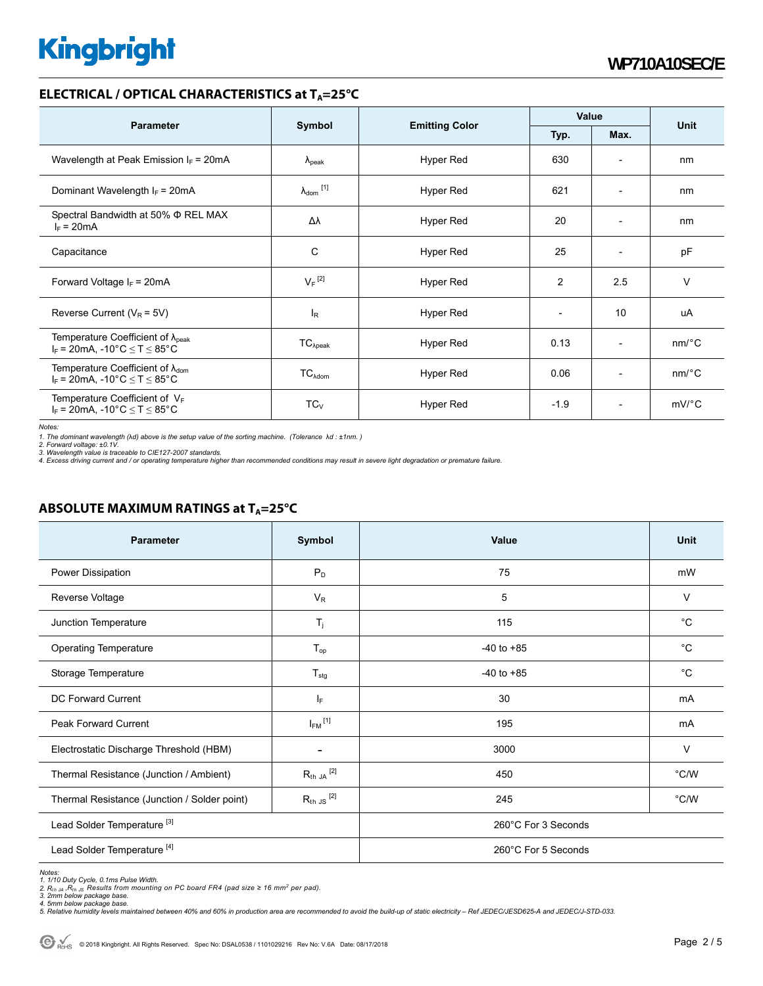#### **ELECTRICAL / OPTICAL CHARACTERISTICS at T<sub>A</sub>=25°C**

|                                                                                            |                            |                       | Value                    |                          | <b>Unit</b>           |
|--------------------------------------------------------------------------------------------|----------------------------|-----------------------|--------------------------|--------------------------|-----------------------|
| <b>Parameter</b>                                                                           | Symbol                     | <b>Emitting Color</b> | Typ.<br>Max.             |                          |                       |
| Wavelength at Peak Emission $I_F$ = 20mA                                                   | $\lambda_{\rm peak}$       | Hyper Red             | 630                      | $\overline{\phantom{0}}$ | nm                    |
| Dominant Wavelength $I_F = 20 \text{mA}$                                                   | $\lambda_{\text{dom}}$ [1] | Hyper Red             | 621                      | $\overline{\phantom{a}}$ | nm                    |
| Spectral Bandwidth at 50% Φ REL MAX<br>$I_F = 20mA$                                        | Δλ                         | Hyper Red             | 20                       | $\overline{\phantom{a}}$ | nm                    |
| Capacitance                                                                                | C                          | Hyper Red             | 25                       | $\overline{\phantom{a}}$ | pF                    |
| Forward Voltage $I_F$ = 20mA                                                               | $V_F$ <sup>[2]</sup>       | Hyper Red             | $\overline{c}$           | 2.5                      | $\vee$                |
| Reverse Current ( $V_R$ = 5V)                                                              | $I_R$                      | Hyper Red             | $\overline{\phantom{a}}$ | 10                       | uA                    |
| Temperature Coefficient of $\lambda_{peak}$<br>$I_F$ = 20mA, -10°C $\le T \le 85$ °C       | $TC_{\lambda peak}$        | Hyper Red             | 0.13                     | $\overline{\phantom{a}}$ | $nm$ <sup>o</sup> $C$ |
| Temperature Coefficient of $\lambda_{\text{dom}}$<br>$I_F$ = 20mA, -10°C $\le T \le 85$ °C | $TC_{\lambda dom}$         | Hyper Red             | 0.06                     | $\overline{\phantom{a}}$ | $nm$ <sup>o</sup> $C$ |
| Temperature Coefficient of $V_F$<br>$I_F$ = 20mA, -10°C $\leq T \leq 85$ °C                | $TC_V$                     | Hyper Red             | $-1.9$                   | $\overline{\phantom{0}}$ | $mV$ <sup>o</sup> $C$ |

*Notes:* 

1. The dominant wavelength (λd) above is the setup value of the sorting machine. (Tolerance λd : ±1nm. )<br>2. Forward voltage: ±0.1V.<br>3. Wavelength value is traceable to CIE127-2007 standards.<br>4. Excess driving current and

#### **ABSOLUTE MAXIMUM RATINGS at T<sub>A</sub>=25°C**

| <b>Parameter</b>                             | Symbol                   | Value               | Unit         |  |
|----------------------------------------------|--------------------------|---------------------|--------------|--|
| Power Dissipation                            | $P_D$                    | 75                  | mW           |  |
| Reverse Voltage                              | $V_R$                    | 5                   | V            |  |
| Junction Temperature                         | $T_{j}$                  | 115                 | $^{\circ}C$  |  |
| <b>Operating Temperature</b>                 | $T_{op}$                 | $-40$ to $+85$      | $^{\circ}$ C |  |
| Storage Temperature                          | $T_{\text{stg}}$         | $-40$ to $+85$      | $^{\circ}C$  |  |
| DC Forward Current                           | IF.                      | 30                  | mA           |  |
| Peak Forward Current                         | $I_{FM}$ <sup>[1]</sup>  | 195                 | mA           |  |
| Electrostatic Discharge Threshold (HBM)      | $\overline{\phantom{a}}$ | 3000                | $\vee$       |  |
| Thermal Resistance (Junction / Ambient)      | $R_{th}$ JA $^{[2]}$     | 450                 | °C/W         |  |
| Thermal Resistance (Junction / Solder point) | $R_{th}$ JS $^{[2]}$     | 245                 | °C/W         |  |
| Lead Solder Temperature <sup>[3]</sup>       |                          | 260°C For 3 Seconds |              |  |
| Lead Solder Temperature <sup>[4]</sup>       |                          | 260°C For 5 Seconds |              |  |

Notes:<br>1. 1/10 Duty Cycle, 0.1ms Pulse Width.<br>2. R<sub>th JA</sub> ,R<sub>th JS</sub> Results from mounting on PC board FR4 (pad size ≥ 16 mm<sup>2</sup> per pad).<br>3. 2mm below package base.<br>4. Smlative humidity levels maintained between 40% and 60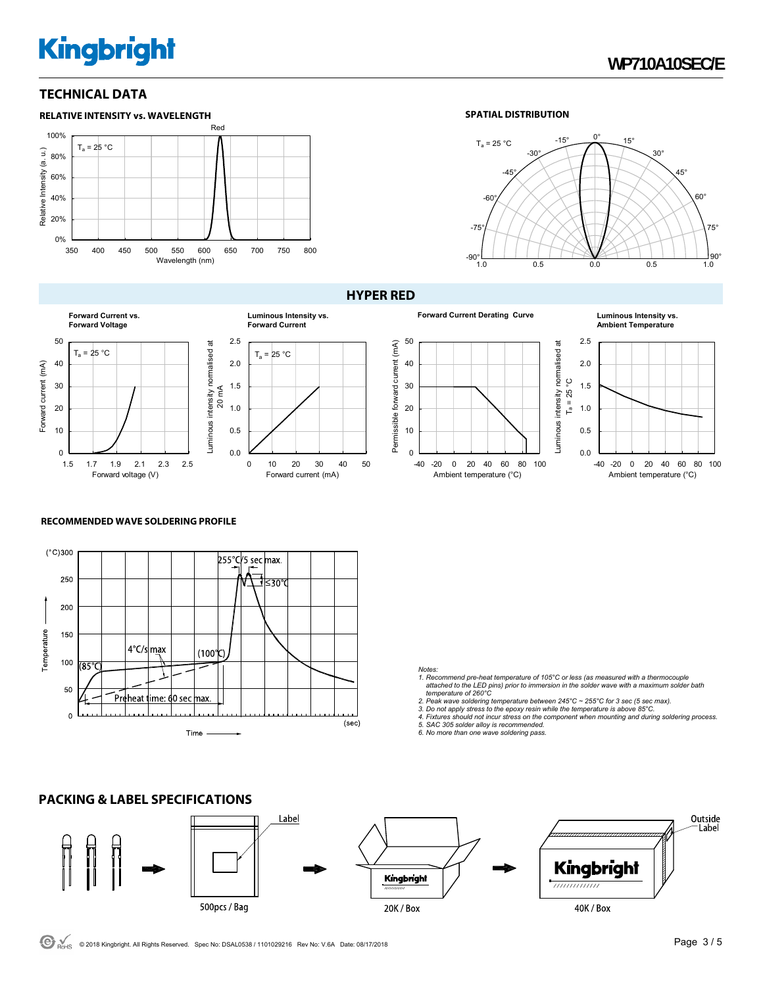### **TECHNICAL DATA**



#### **SPATIAL DISTRIBUTION**





#### **HYPER RED**



### $\Omega$ -40 -20 0 20 40 60 80 100 Ambient temperature (°C)

### **Ambient Temperature**



#### **RECOMMENDED WAVE SOLDERING PROFILE**

**PACKING & LABEL SPECIFICATIONS** 



0.0 0.5 1.0 1.5 2.0 2.5

0 10 20 30 40 50

Forward current (mA)

 $T_a = 25 °C$ 

**Luminous Intensity vs. Forward Current**

#### *Notes:*

- *1. Recommend pre-heat temperature of 105°C or less (as measured with a thermocouple attached to the LED pins) prior to immersion in the solder wave with a maximum solder bath temperature of 260°C*
- 
- 2. Peak wave soldering temperature between 245°C ~ 255°C for 3 sec (5 sec max).<br>3. Do not apply stress to the epoxy resin while the temperature is above 85°C.<br>4. Fixtures should not incur stress on the component when mount
- 
- *5. SAC 305 solder alloy is recommended. 6. No more than one wave soldering pass.*

#### Label Outside Label Kingbright Kingbright ,,,,,,,,,,,,,, 500pcs / Bag 40K / Box 20K / Box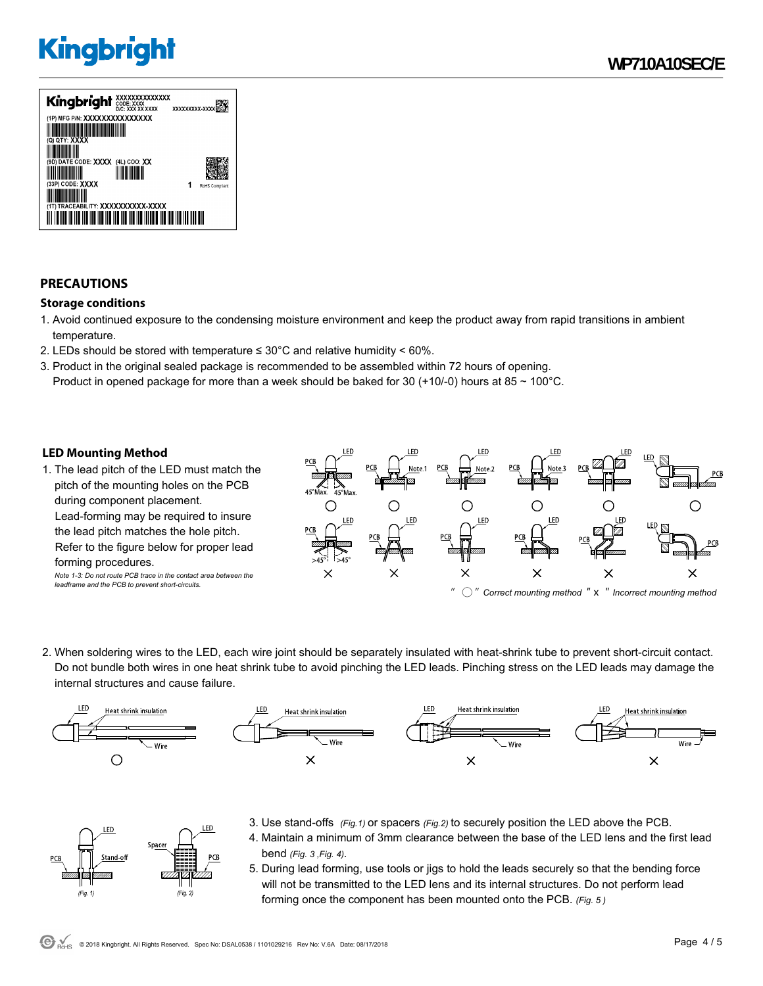

## **PRECAUTIONS**

#### **Storage conditions**

- 1. Avoid continued exposure to the condensing moisture environment and keep the product away from rapid transitions in ambient temperature.
- 2. LEDs should be stored with temperature  $\leq 30^{\circ}$ C and relative humidity < 60%.
- 3. Product in the original sealed package is recommended to be assembled within 72 hours of opening. Product in opened package for more than a week should be baked for 30 (+10/-0) hours at 85  $\sim$  100°C.

#### **LED Mounting Method**

FD.

 $(Fig. 1)$ 

Space

1. The lead pitch of the LED must match the pitch of the mounting holes on the PCB during component placement. Lead-forming may be required to insure the lead pitch matches the hole pitch. Refer to the figure below for proper lead forming procedures. *Note 1-3: Do not route PCB trace in the contact area between the* 

*leadframe and the PCB to prevent short-circuits.* 



2. When soldering wires to the LED, each wire joint should be separately insulated with heat-shrink tube to prevent short-circuit contact. Do not bundle both wires in one heat shrink tube to avoid pinching the LED leads. Pinching stress on the LED leads may damage the internal structures and cause failure.



- 3. Use stand-offs *(Fig.1)* or spacers *(Fig.2)* to securely position the LED above the PCB.
	- 4. Maintain a minimum of 3mm clearance between the base of the LED lens and the first lead bend *(Fig. 3 ,Fig. 4).*
	- 5. During lead forming, use tools or jigs to hold the leads securely so that the bending force will not be transmitted to the LED lens and its internal structures. Do not perform lead forming once the component has been mounted onto the PCB. *(Fig. 5 )*

.ED

 $(Fig. 2)$